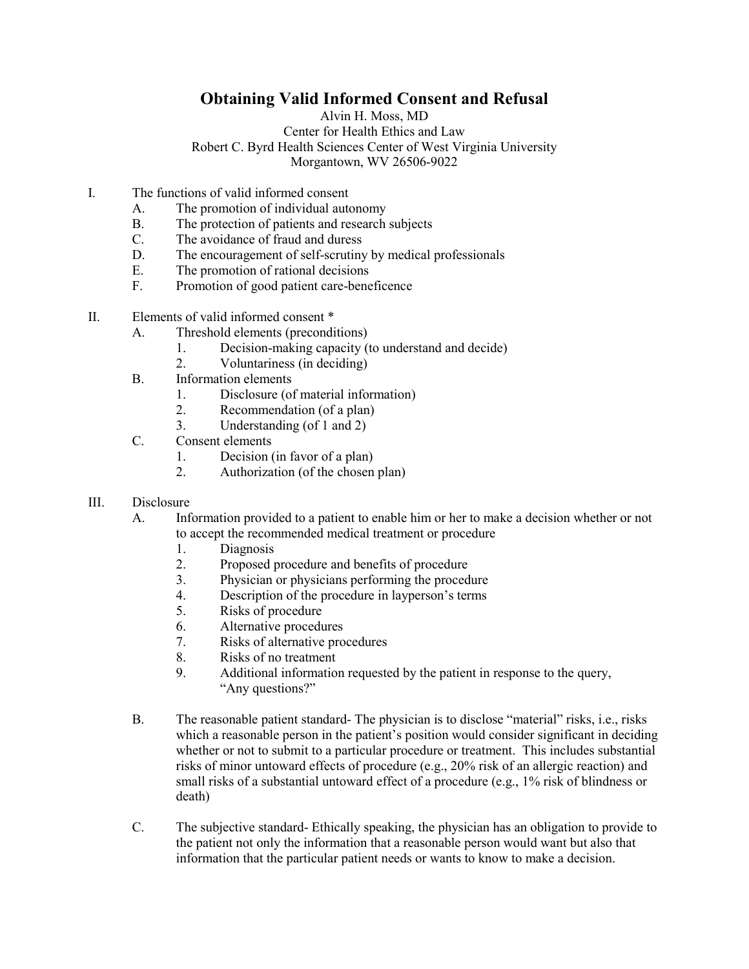## **Obtaining Valid Informed Consent and Refusal**

Alvin H. Moss, MD Center for Health Ethics and Law Robert C. Byrd Health Sciences Center of West Virginia University Morgantown, WV 26506-9022

- I. The functions of valid informed consent
	- A. The promotion of individual autonomy
	- B. The protection of patients and research subjects<br>C. The avoidance of fraud and duress
	- The avoidance of fraud and duress
	- D. The encouragement of self-scrutiny by medical professionals<br>E. The promotion of rational decisions
	- The promotion of rational decisions
	- F. Promotion of good patient care-beneficence
- II. Elements of valid informed consent \*
	- A. Threshold elements (preconditions)
		- 1. Decision-making capacity (to understand and decide)
		- 2. Voluntariness (in deciding)
	- B. Information elements
		- 1. Disclosure (of material information)
		- 2. Recommendation (of a plan)
		- 3. Understanding (of 1 and 2)
	- C. Consent elements
		- 1. Decision (in favor of a plan)<br>2. Authorization (of the chosen
		- Authorization (of the chosen plan)
- III. Disclosure
	- A. Information provided to a patient to enable him or her to make a decision whether or not to accept the recommended medical treatment or procedure
		- 1. Diagnosis
		- 2. Proposed procedure and benefits of procedure
		- 3. Physician or physicians performing the procedure
		- 4. Description of the procedure in layperson's terms
		- 5. Risks of procedure
		- 6. Alternative procedures
		- 7. Risks of alternative procedures
		- 8. Risks of no treatment
		- 9. Additional information requested by the patient in response to the query, "Any questions?"
	- B. The reasonable patient standard- The physician is to disclose "material" risks, i.e., risks which a reasonable person in the patient's position would consider significant in deciding whether or not to submit to a particular procedure or treatment. This includes substantial risks of minor untoward effects of procedure (e.g., 20% risk of an allergic reaction) and small risks of a substantial untoward effect of a procedure (e.g., 1% risk of blindness or death)
	- C. The subjective standard- Ethically speaking, the physician has an obligation to provide to the patient not only the information that a reasonable person would want but also that information that the particular patient needs or wants to know to make a decision.